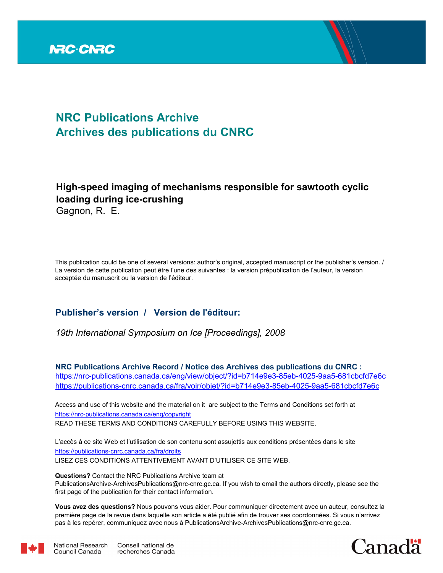

# **NRC Publications Archive Archives des publications du CNRC**

# **High-speed imaging of mechanisms responsible for sawtooth cyclic loading during ice-crushing** Gagnon, R. E.

This publication could be one of several versions: author's original, accepted manuscript or the publisher's version. / La version de cette publication peut être l'une des suivantes : la version prépublication de l'auteur, la version acceptée du manuscrit ou la version de l'éditeur.

# **Publisher's version / Version de l'éditeur:**

*19th International Symposium on Ice [Proceedings], 2008*

**NRC Publications Archive Record / Notice des Archives des publications du CNRC :** https://nrc-publications.canada.ca/eng/view/object/?id=b714e9e3-85eb-4025-9aa5-681cbcfd7e6c https://publications-cnrc.canada.ca/fra/voir/objet/?id=b714e9e3-85eb-4025-9aa5-681cbcfd7e6c

READ THESE TERMS AND CONDITIONS CAREFULLY BEFORE USING THIS WEBSITE. https://nrc-publications.canada.ca/eng/copyright Access and use of this website and the material on it are subject to the Terms and Conditions set forth at

https://publications-cnrc.canada.ca/fra/droits L'accès à ce site Web et l'utilisation de son contenu sont assujettis aux conditions présentées dans le site LISEZ CES CONDITIONS ATTENTIVEMENT AVANT D'UTILISER CE SITE WEB.

**Questions?** Contact the NRC Publications Archive team at PublicationsArchive-ArchivesPublications@nrc-cnrc.gc.ca. If you wish to email the authors directly, please see the first page of the publication for their contact information.

**Vous avez des questions?** Nous pouvons vous aider. Pour communiquer directement avec un auteur, consultez la première page de la revue dans laquelle son article a été publié afin de trouver ses coordonnées. Si vous n'arrivez pas à les repérer, communiquez avec nous à PublicationsArchive-ArchivesPublications@nrc-cnrc.gc.ca.



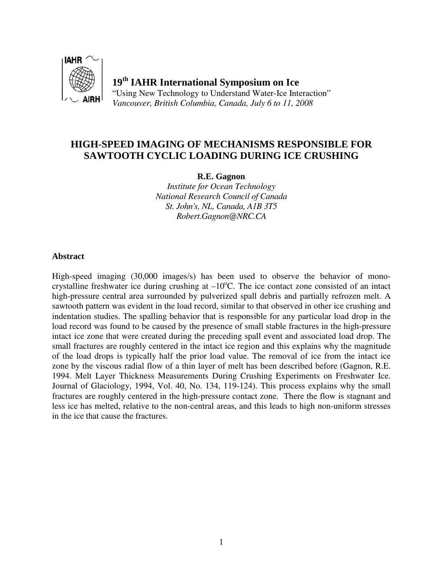

# **19th IAHR International Symposium on Ice**

"Using New Technology to Understand Water-Ice Interaction" *Vancouver, British Columbia, Canada, July 6 to 11, 2008*

# **HIGH-SPEED IMAGING OF MECHANISMS RESPONSIBLE FOR SAWTOOTH CYCLIC LOADING DURING ICE CRUSHING**

### **R.E. Gagnon**

*Institute for Ocean Technology National Research Council of Canada St. John's, NL, Canada, A1B 3T5 Robert.Gagnon@NRC.CA* 

#### **Abstract**

High-speed imaging (30,000 images/s) has been used to observe the behavior of monocrystalline freshwater ice during crushing at  $-10^{\circ}$ C. The ice contact zone consisted of an intact high-pressure central area surrounded by pulverized spall debris and partially refrozen melt. A sawtooth pattern was evident in the load record, similar to that observed in other ice crushing and indentation studies. The spalling behavior that is responsible for any particular load drop in the load record was found to be caused by the presence of small stable fractures in the high-pressure intact ice zone that were created during the preceding spall event and associated load drop. The small fractures are roughly centered in the intact ice region and this explains why the magnitude of the load drops is typically half the prior load value. The removal of ice from the intact ice zone by the viscous radial flow of a thin layer of melt has been described before (Gagnon, R.E. 1994. Melt Layer Thickness Measurements During Crushing Experiments on Freshwater Ice. Journal of Glaciology, 1994, Vol. 40, No. 134, 119-124). This process explains why the small fractures are roughly centered in the high-pressure contact zone. There the flow is stagnant and less ice has melted, relative to the non-central areas, and this leads to high non-uniform stresses in the ice that cause the fractures.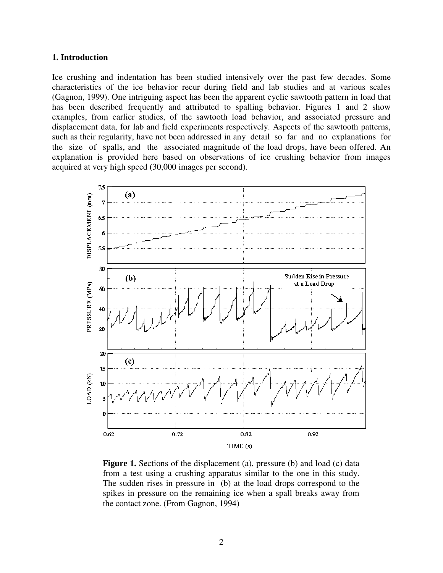#### **1. Introduction**

Ice crushing and indentation has been studied intensively over the past few decades. Some characteristics of the ice behavior recur during field and lab studies and at various scales (Gagnon, 1999). One intriguing aspect has been the apparent cyclic sawtooth pattern in load that has been described frequently and attributed to spalling behavior. Figures 1 and 2 show examples, from earlier studies, of the sawtooth load behavior, and associated pressure and displacement data, for lab and field experiments respectively. Aspects of the sawtooth patterns, such as their regularity, have not been addressed in any detail so far and no explanations for the size of spalls, and the associated magnitude of the load drops, have been offered. An explanation is provided here based on observations of ice crushing behavior from images acquired at very high speed (30,000 images per second).



**Figure 1.** Sections of the displacement (a), pressure (b) and load (c) data from a test using a crushing apparatus similar to the one in this study. The sudden rises in pressure in (b) at the load drops correspond to the spikes in pressure on the remaining ice when a spall breaks away from the contact zone. (From Gagnon, 1994)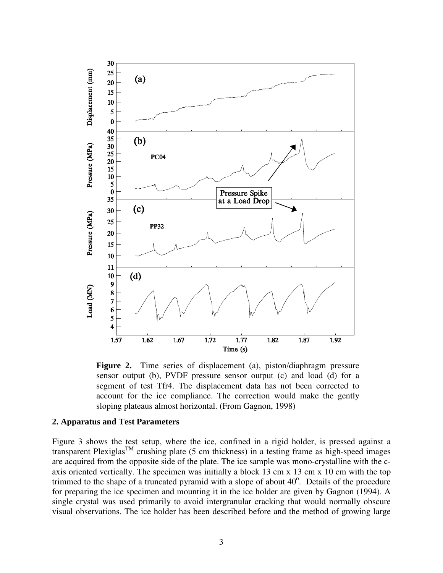

**Figure 2.** Time series of displacement (a), piston/diaphragm pressure sensor output (b), PVDF pressure sensor output (c) and load (d) for a segment of test Tfr4. The displacement data has not been corrected to account for the ice compliance. The correction would make the gently sloping plateaus almost horizontal. (From Gagnon, 1998)

### **2. Apparatus and Test Parameters**

Figure 3 shows the test setup, where the ice, confined in a rigid holder, is pressed against a transparent  $Plexiglas^{TM}$  crushing plate (5 cm thickness) in a testing frame as high-speed images are acquired from the opposite side of the plate. The ice sample was mono-crystalline with the caxis oriented vertically. The specimen was initially a block 13 cm x 13 cm x 10 cm with the top trimmed to the shape of a truncated pyramid with a slope of about  $40^\circ$ . Details of the procedure for preparing the ice specimen and mounting it in the ice holder are given by Gagnon (1994). A single crystal was used primarily to avoid intergranular cracking that would normally obscure visual observations. The ice holder has been described before and the method of growing large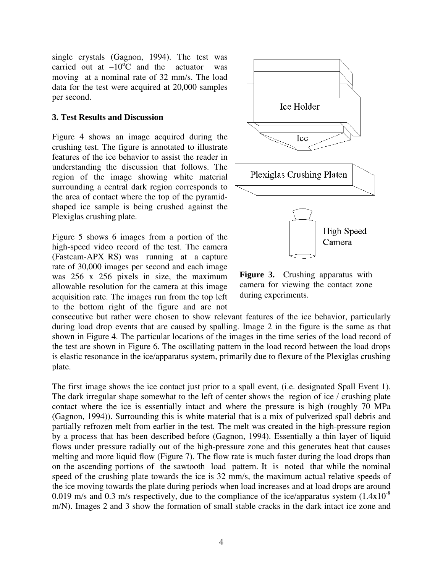single crystals (Gagnon, 1994). The test was carried out at  $-10^{\circ}$ C and the actuator was moving at a nominal rate of 32 mm/s. The load data for the test were acquired at 20,000 samples per second.

# **3. Test Results and Discussion**

Figure 4 shows an image acquired during the crushing test. The figure is annotated to illustrate features of the ice behavior to assist the reader in understanding the discussion that follows. The region of the image showing white material surrounding a central dark region corresponds to the area of contact where the top of the pyramidshaped ice sample is being crushed against the Plexiglas crushing plate.

Figure 5 shows 6 images from a portion of the high-speed video record of the test. The camera (Fastcam-APX RS) was running at a capture rate of 30,000 images per second and each image was 256 x 256 pixels in size, the maximum allowable resolution for the camera at this image acquisition rate. The images run from the top left to the bottom right of the figure and are not



**Figure 3.** Crushing apparatus with camera for viewing the contact zone during experiments.

consecutive but rather were chosen to show relevant features of the ice behavior, particularly during load drop events that are caused by spalling. Image 2 in the figure is the same as that shown in Figure 4. The particular locations of the images in the time series of the load record of the test are shown in Figure 6. The oscillating pattern in the load record between the load drops is elastic resonance in the ice/apparatus system, primarily due to flexure of the Plexiglas crushing plate.

The first image shows the ice contact just prior to a spall event, (i.e. designated Spall Event 1). The dark irregular shape somewhat to the left of center shows the region of ice / crushing plate contact where the ice is essentially intact and where the pressure is high (roughly 70 MPa (Gagnon, 1994)). Surrounding this is white material that is a mix of pulverized spall debris and partially refrozen melt from earlier in the test. The melt was created in the high-pressure region by a process that has been described before (Gagnon, 1994). Essentially a thin layer of liquid flows under pressure radially out of the high-pressure zone and this generates heat that causes melting and more liquid flow (Figure 7). The flow rate is much faster during the load drops than on the ascending portions of the sawtooth load pattern. It is noted that while the nominal speed of the crushing plate towards the ice is 32 mm/s, the maximum actual relative speeds of the ice moving towards the plate during periods when load increases and at load drops are around 0.019 m/s and 0.3 m/s respectively, due to the compliance of the ice/apparatus system  $(1.4x10^{-8})$ m/N). Images 2 and 3 show the formation of small stable cracks in the dark intact ice zone and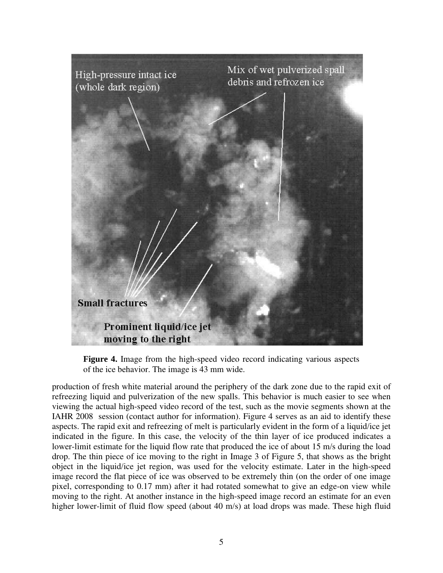

**Figure 4.** Image from the high-speed video record indicating various aspects of the ice behavior. The image is 43 mm wide.

production of fresh white material around the periphery of the dark zone due to the rapid exit of refreezing liquid and pulverization of the new spalls. This behavior is much easier to see when viewing the actual high-speed video record of the test, such as the movie segments shown at the IAHR 2008 session (contact author for information). Figure 4 serves as an aid to identify these aspects. The rapid exit and refreezing of melt is particularly evident in the form of a liquid/ice jet indicated in the figure. In this case, the velocity of the thin layer of ice produced indicates a lower-limit estimate for the liquid flow rate that produced the ice of about 15 m/s during the load drop. The thin piece of ice moving to the right in Image 3 of Figure 5, that shows as the bright object in the liquid/ice jet region, was used for the velocity estimate. Later in the high-speed image record the flat piece of ice was observed to be extremely thin (on the order of one image pixel, corresponding to 0.17 mm) after it had rotated somewhat to give an edge-on view while moving to the right. At another instance in the high-speed image record an estimate for an even higher lower-limit of fluid flow speed (about 40 m/s) at load drops was made. These high fluid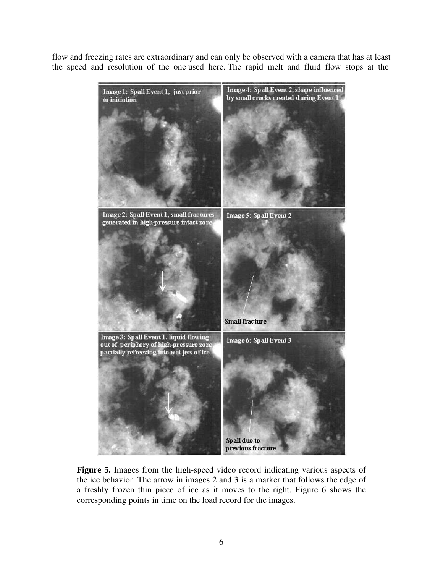flow and freezing rates are extraordinary and can only be observed with a camera that has at least the speed and resolution of the one used here. The rapid melt and fluid flow stops at the



**Figure 5.** Images from the high-speed video record indicating various aspects of the ice behavior. The arrow in images 2 and 3 is a marker that follows the edge of a freshly frozen thin piece of ice as it moves to the right. Figure 6 shows the corresponding points in time on the load record for the images.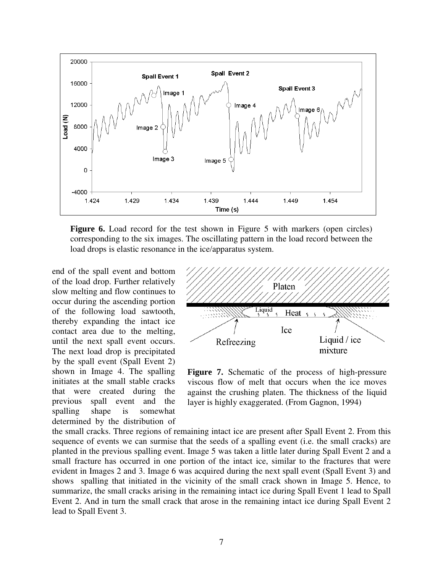

**Figure 6.** Load record for the test shown in Figure 5 with markers (open circles) corresponding to the six images. The oscillating pattern in the load record between the load drops is elastic resonance in the ice/apparatus system.

end of the spall event and bottom of the load drop. Further relatively slow melting and flow continues to occur during the ascending portion of the following load sawtooth, thereby expanding the intact ice contact area due to the melting, until the next spall event occurs. The next load drop is precipitated by the spall event (Spall Event 2) shown in Image 4. The spalling initiates at the small stable cracks that were created during the previous spall event and the spalling shape is somewhat determined by the distribution of



**Figure 7.** Schematic of the process of high-pressure viscous flow of melt that occurs when the ice moves against the crushing platen. The thickness of the liquid layer is highly exaggerated. (From Gagnon, 1994)

the small cracks. Three regions of remaining intact ice are present after Spall Event 2. From this sequence of events we can surmise that the seeds of a spalling event (i.e. the small cracks) are planted in the previous spalling event. Image 5 was taken a little later during Spall Event 2 and a small fracture has occurred in one portion of the intact ice, similar to the fractures that were evident in Images 2 and 3. Image 6 was acquired during the next spall event (Spall Event 3) and shows spalling that initiated in the vicinity of the small crack shown in Image 5. Hence, to summarize, the small cracks arising in the remaining intact ice during Spall Event 1 lead to Spall Event 2. And in turn the small crack that arose in the remaining intact ice during Spall Event 2 lead to Spall Event 3.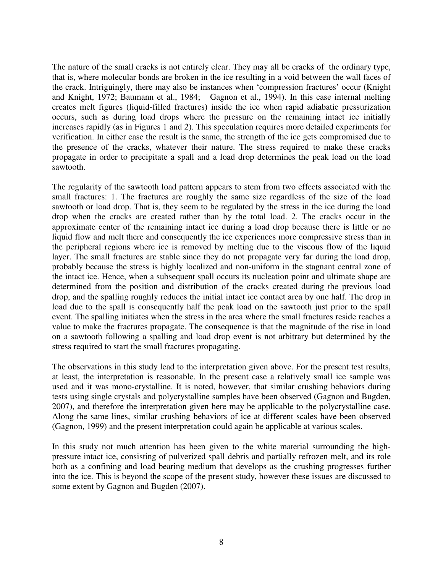The nature of the small cracks is not entirely clear. They may all be cracks of the ordinary type, that is, where molecular bonds are broken in the ice resulting in a void between the wall faces of the crack. Intriguingly, there may also be instances when 'compression fractures' occur (Knight and Knight, 1972; Baumann et al., 1984; Gagnon et al., 1994). In this case internal melting creates melt figures (liquid-filled fractures) inside the ice when rapid adiabatic pressurization occurs, such as during load drops where the pressure on the remaining intact ice initially increases rapidly (as in Figures 1 and 2). This speculation requires more detailed experiments for verification. In either case the result is the same, the strength of the ice gets compromised due to the presence of the cracks, whatever their nature. The stress required to make these cracks propagate in order to precipitate a spall and a load drop determines the peak load on the load sawtooth.

The regularity of the sawtooth load pattern appears to stem from two effects associated with the small fractures: 1. The fractures are roughly the same size regardless of the size of the load sawtooth or load drop. That is, they seem to be regulated by the stress in the ice during the load drop when the cracks are created rather than by the total load. 2. The cracks occur in the approximate center of the remaining intact ice during a load drop because there is little or no liquid flow and melt there and consequently the ice experiences more compressive stress than in the peripheral regions where ice is removed by melting due to the viscous flow of the liquid layer. The small fractures are stable since they do not propagate very far during the load drop, probably because the stress is highly localized and non-uniform in the stagnant central zone of the intact ice. Hence, when a subsequent spall occurs its nucleation point and ultimate shape are determined from the position and distribution of the cracks created during the previous load drop, and the spalling roughly reduces the initial intact ice contact area by one half. The drop in load due to the spall is consequently half the peak load on the sawtooth just prior to the spall event. The spalling initiates when the stress in the area where the small fractures reside reaches a value to make the fractures propagate. The consequence is that the magnitude of the rise in load on a sawtooth following a spalling and load drop event is not arbitrary but determined by the stress required to start the small fractures propagating.

The observations in this study lead to the interpretation given above. For the present test results, at least, the interpretation is reasonable. In the present case a relatively small ice sample was used and it was mono-crystalline. It is noted, however, that similar crushing behaviors during tests using single crystals and polycrystalline samples have been observed (Gagnon and Bugden, 2007), and therefore the interpretation given here may be applicable to the polycrystalline case. Along the same lines, similar crushing behaviors of ice at different scales have been observed (Gagnon, 1999) and the present interpretation could again be applicable at various scales.

In this study not much attention has been given to the white material surrounding the highpressure intact ice, consisting of pulverized spall debris and partially refrozen melt, and its role both as a confining and load bearing medium that develops as the crushing progresses further into the ice. This is beyond the scope of the present study, however these issues are discussed to some extent by Gagnon and Bugden (2007).